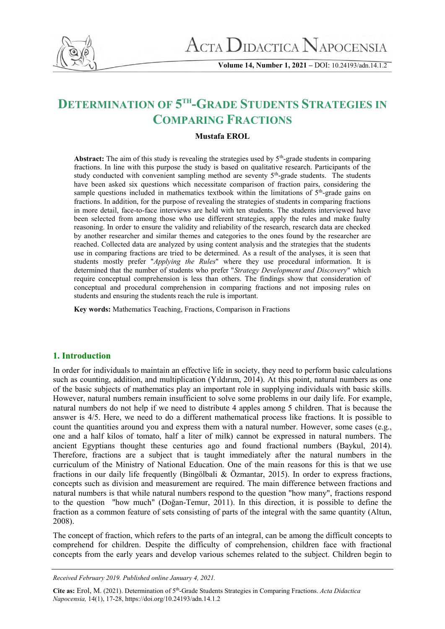

**Volume 14, Number 1, 2021 –** DOI: 10.24193/adn.14.1.2

# **DETERMINATION OF 5 TH-GRADE STUDENTS STRATEGIES IN COMPARING FRACTIONS**

# **Mustafa EROL**

Abstract: The aim of this study is revealing the strategies used by 5<sup>th</sup>-grade students in comparing fractions. In line with this purpose the study is based on qualitative research. Participants of the study conducted with convenient sampling method are seventy 5<sup>th</sup>-grade students. The students have been asked six questions which necessitate comparison of fraction pairs, considering the sample questions included in mathematics textbook within the limitations of  $5<sup>th</sup>$ -grade gains on fractions. In addition, for the purpose of revealing the strategies of students in comparing fractions in more detail, face-to-face interviews are held with ten students. The students interviewed have been selected from among those who use different strategies, apply the rules and make faulty reasoning. In order to ensure the validity and reliability of the research, research data are checked by another researcher and similar themes and categories to the ones found by the researcher are reached. Collected data are analyzed by using content analysis and the strategies that the students use in comparing fractions are tried to be determined. As a result of the analyses, it is seen that students mostly prefer "*Applying the Rules*" where they use procedural information. It is determined that the number of students who prefer "*Strategy Development and Discovery*" which require conceptual comprehension is less than others. The findings show that consideration of conceptual and procedural comprehension in comparing fractions and not imposing rules on students and ensuring the students reach the rule is important.

**Key words:** Mathematics Teaching, Fractions, Comparison in Fractions

# **1. Introduction**

In order for individuals to maintain an effective life in society, they need to perform basic calculations such as counting, addition, and multiplication (Yıldırım, 2014). At this point, natural numbers as one of the basic subjects of mathematics play an important role in supplying individuals with basic skills. However, natural numbers remain insufficient to solve some problems in our daily life. For example, natural numbers do not help if we need to distribute 4 apples among 5 children. That is because the answer is 4/5. Here, we need to do a different mathematical process like fractions. It is possible to count the quantities around you and express them with a natural number. However, some cases (e.g., one and a half kilos of tomato, half a liter of milk) cannot be expressed in natural numbers. The ancient Egyptians thought these centuries ago and found fractional numbers (Baykul, 2014). Therefore, fractions are a subject that is taught immediately after the natural numbers in the curriculum of the Ministry of National Education. One of the main reasons for this is that we use fractions in our daily life frequently (Bingölbali & Özmantar, 2015). In order to express fractions, concepts such as division and measurement are required. The main difference between fractions and natural numbers is that while natural numbers respond to the question "how many", fractions respond to the question "how much" (Doğan-Temur, 2011). In this direction, it is possible to define the fraction as a common feature of sets consisting of parts of the integral with the same quantity (Altun, 2008).

The concept of fraction, which refers to the parts of an integral, can be among the difficult concepts to comprehend for children. Despite the difficulty of comprehension, children face with fractional concepts from the early years and develop various schemes related to the subject. Children begin to

*Received February 2019. Published online January 4, 2021.* 

**Cite as:** Erol, M. (2021). Determination of 5th-Grade Students Strategies in Comparing Fractions. *Acta Didactica Napocensia,* 14(1), 17-28, https://doi.org/10.24193/adn.14.1.2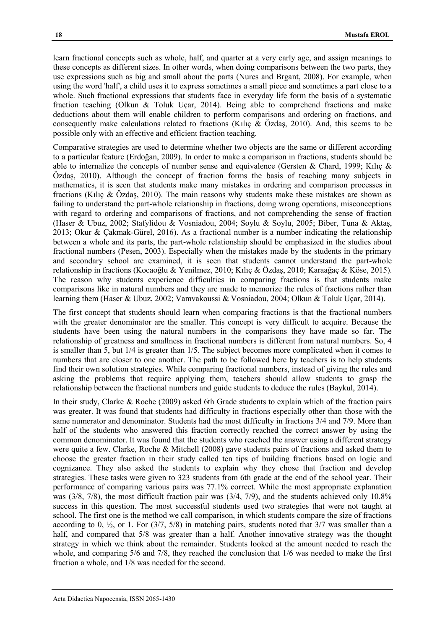learn fractional concepts such as whole, half, and quarter at a very early age, and assign meanings to these concepts as different sizes. In other words, when doing comparisons between the two parts, they use expressions such as big and small about the parts (Nures and Brgant, 2008). For example, when using the word 'half', a child uses it to express sometimes a small piece and sometimes a part close to a whole. Such fractional expressions that students face in everyday life form the basis of a systematic fraction teaching (Olkun & Toluk Uçar, 2014). Being able to comprehend fractions and make deductions about them will enable children to perform comparisons and ordering on fractions, and consequently make calculations related to fractions (Kılıç & Özdaş, 2010). And, this seems to be possible only with an effective and efficient fraction teaching.

Comparative strategies are used to determine whether two objects are the same or different according to a particular feature (Erdoğan, 2009). In order to make a comparison in fractions, students should be able to internalize the concepts of number sense and equivalence (Gersten & Chard, 1999; Kılıç & Özdaş, 2010). Although the concept of fraction forms the basis of teaching many subjects in mathematics, it is seen that students make many mistakes in ordering and comparison processes in fractions (Kilic & Özdas, 2010). The main reasons why students make these mistakes are shown as failing to understand the part-whole relationship in fractions, doing wrong operations, misconceptions with regard to ordering and comparisons of fractions, and not comprehending the sense of fraction (Haser & Ubuz, 2002; Stafylidou & Vosniadou, 2004; Soylu & Soylu, 2005; Biber, Tuna & Aktaş, 2013; Okur & Çakmak-Gürel, 2016). As a fractional number is a number indicating the relationship between a whole and its parts, the part-whole relationship should be emphasized in the studies about fractional numbers (Pesen, 2003). Especially when the mistakes made by the students in the primary and secondary school are examined, it is seen that students cannot understand the part-whole relationship in fractions (Kocaoğlu & Yenilmez, 2010; Kılıç & Özdaş, 2010; Karaağaç & Köse, 2015). The reason why students experience difficulties in comparing fractions is that students make comparisons like in natural numbers and they are made to memorize the rules of fractions rather than learning them (Haser & Ubuz, 2002; Vamvakoussi & Vosniadou, 2004; Olkun & Toluk Uçar, 2014).

The first concept that students should learn when comparing fractions is that the fractional numbers with the greater denominator are the smaller. This concept is very difficult to acquire. Because the students have been using the natural numbers in the comparisons they have made so far. The relationship of greatness and smallness in fractional numbers is different from natural numbers. So, 4 is smaller than 5, but 1/4 is greater than 1/5. The subject becomes more complicated when it comes to numbers that are closer to one another. The path to be followed here by teachers is to help students find their own solution strategies. While comparing fractional numbers, instead of giving the rules and asking the problems that require applying them, teachers should allow students to grasp the relationship between the fractional numbers and guide students to deduce the rules (Baykul, 2014).

In their study, Clarke & Roche (2009) asked 6th Grade students to explain which of the fraction pairs was greater. It was found that students had difficulty in fractions especially other than those with the same numerator and denominator. Students had the most difficulty in fractions 3/4 and 7/9. More than half of the students who answered this fraction correctly reached the correct answer by using the common denominator. It was found that the students who reached the answer using a different strategy were quite a few. Clarke, Roche & Mitchell (2008) gave students pairs of fractions and asked them to choose the greater fraction in their study called ten tips of building fractions based on logic and cognizance. They also asked the students to explain why they chose that fraction and develop strategies. These tasks were given to 323 students from 6th grade at the end of the school year. Their performance of comparing various pairs was 77.1% correct. While the most appropriate explanation was (3/8, 7/8), the most difficult fraction pair was (3/4, 7/9), and the students achieved only 10.8% success in this question. The most successful students used two strategies that were not taught at school. The first one is the method we call comparison, in which students compare the size of fractions according to 0,  $\frac{1}{2}$ , or 1. For (3/7, 5/8) in matching pairs, students noted that 3/7 was smaller than a half, and compared that  $5/8$  was greater than a half. Another innovative strategy was the thought strategy in which we think about the remainder. Students looked at the amount needed to reach the whole, and comparing 5/6 and 7/8, they reached the conclusion that 1/6 was needed to make the first fraction a whole, and 1/8 was needed for the second.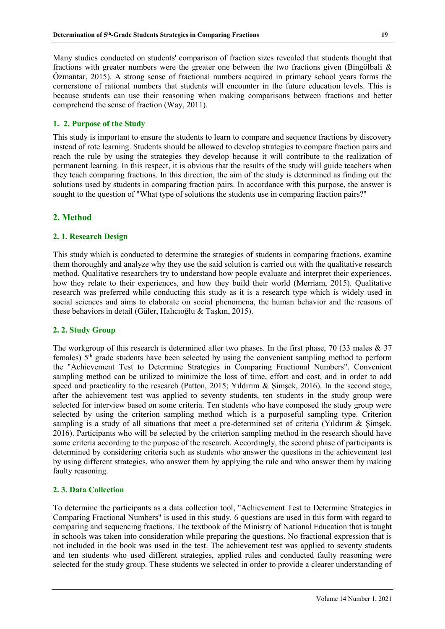Many studies conducted on students' comparison of fraction sizes revealed that students thought that fractions with greater numbers were the greater one between the two fractions given (Bingölbali & Özmantar, 2015). A strong sense of fractional numbers acquired in primary school years forms the cornerstone of rational numbers that students will encounter in the future education levels. This is because students can use their reasoning when making comparisons between fractions and better comprehend the sense of fraction (Way, 2011).

# **1. 2. Purpose of the Study**

This study is important to ensure the students to learn to compare and sequence fractions by discovery instead of rote learning. Students should be allowed to develop strategies to compare fraction pairs and reach the rule by using the strategies they develop because it will contribute to the realization of permanent learning. In this respect, it is obvious that the results of the study will guide teachers when they teach comparing fractions. In this direction, the aim of the study is determined as finding out the solutions used by students in comparing fraction pairs. In accordance with this purpose, the answer is sought to the question of "What type of solutions the students use in comparing fraction pairs?"

# **2. Method**

# **2. 1. Research Design**

This study which is conducted to determine the strategies of students in comparing fractions, examine them thoroughly and analyze why they use the said solution is carried out with the qualitative research method. Qualitative researchers try to understand how people evaluate and interpret their experiences, how they relate to their experiences, and how they build their world (Merriam, 2015). Qualitative research was preferred while conducting this study as it is a research type which is widely used in social sciences and aims to elaborate on social phenomena, the human behavior and the reasons of these behaviors in detail (Güler, Halıcıoğlu & Taşkın, 2015).

# **2. 2. Study Group**

The workgroup of this research is determined after two phases. In the first phase, 70 (33 males & 37) females)  $5<sup>th</sup>$  grade students have been selected by using the convenient sampling method to perform the "Achievement Test to Determine Strategies in Comparing Fractional Numbers". Convenient sampling method can be utilized to minimize the loss of time, effort and cost, and in order to add speed and practicality to the research (Patton, 2015; Yıldırım & Şimşek, 2016). In the second stage, after the achievement test was applied to seventy students, ten students in the study group were selected for interview based on some criteria. Ten students who have composed the study group were selected by using the criterion sampling method which is a purposeful sampling type. Criterion sampling is a study of all situations that meet a pre-determined set of criteria (Yıldırım & Şimşek, 2016). Participants who will be selected by the criterion sampling method in the research should have some criteria according to the purpose of the research. Accordingly, the second phase of participants is determined by considering criteria such as students who answer the questions in the achievement test by using different strategies, who answer them by applying the rule and who answer them by making faulty reasoning.

# **2. 3. Data Collection**

To determine the participants as a data collection tool, "Achievement Test to Determine Strategies in Comparing Fractional Numbers" is used in this study. 6 questions are used in this form with regard to comparing and sequencing fractions. The textbook of the Ministry of National Education that is taught in schools was taken into consideration while preparing the questions. No fractional expression that is not included in the book was used in the test. The achievement test was applied to seventy students and ten students who used different strategies, applied rules and conducted faulty reasoning were selected for the study group. These students we selected in order to provide a clearer understanding of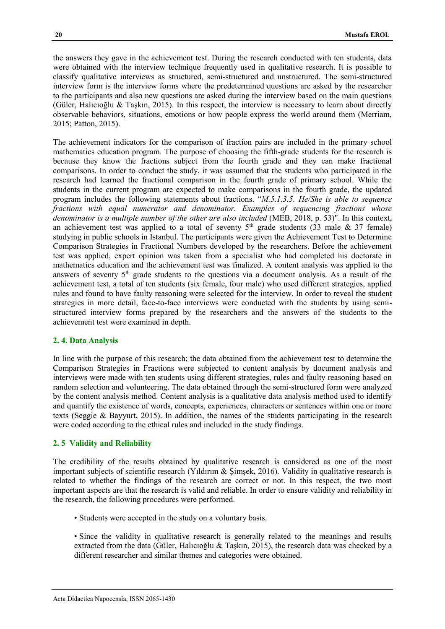the answers they gave in the achievement test. During the research conducted with ten students, data were obtained with the interview technique frequently used in qualitative research. It is possible to classify qualitative interviews as structured, semi-structured and unstructured. The semi-structured interview form is the interview forms where the predetermined questions are asked by the researcher to the participants and also new questions are asked during the interview based on the main questions (Güler, Halıcıoğlu & Taşkın, 2015). In this respect, the interview is necessary to learn about directly observable behaviors, situations, emotions or how people express the world around them (Merriam, 2015; Patton, 2015).

The achievement indicators for the comparison of fraction pairs are included in the primary school mathematics education program. The purpose of choosing the fifth-grade students for the research is because they know the fractions subject from the fourth grade and they can make fractional comparisons. In order to conduct the study, it was assumed that the students who participated in the research had learned the fractional comparison in the fourth grade of primary school. While the students in the current program are expected to make comparisons in the fourth grade, the updated program includes the following statements about fractions. "*M.5.1.3.5. He/She is able to sequence fractions with equal numerator and denominator. Examples of sequencing fractions whose denominator is a multiple number of the other are also included* (MEB, 2018, p. 53)". In this context, an achievement test was applied to a total of seventy  $5<sup>th</sup>$  grade students (33 male & 37 female) studying in public schools in Istanbul. The participants were given the Achievement Test to Determine Comparison Strategies in Fractional Numbers developed by the researchers. Before the achievement test was applied, expert opinion was taken from a specialist who had completed his doctorate in mathematics education and the achievement test was finalized. A content analysis was applied to the answers of seventy 5th grade students to the questions via a document analysis. As a result of the achievement test, a total of ten students (six female, four male) who used different strategies, applied rules and found to have faulty reasoning were selected for the interview. In order to reveal the student strategies in more detail, face-to-face interviews were conducted with the students by using semistructured interview forms prepared by the researchers and the answers of the students to the achievement test were examined in depth.

#### **2. 4. Data Analysis**

In line with the purpose of this research; the data obtained from the achievement test to determine the Comparison Strategies in Fractions were subjected to content analysis by document analysis and interviews were made with ten students using different strategies, rules and faulty reasoning based on random selection and volunteering. The data obtained through the semi-structured form were analyzed by the content analysis method. Content analysis is a qualitative data analysis method used to identify and quantify the existence of words, concepts, experiences, characters or sentences within one or more texts (Seggie & Bayyurt, 2015). In addition, the names of the students participating in the research were coded according to the ethical rules and included in the study findings.

#### **2. 5 Validity and Reliability**

The credibility of the results obtained by qualitative research is considered as one of the most important subjects of scientific research (Yıldırım & Şimşek, 2016). Validity in qualitative research is related to whether the findings of the research are correct or not. In this respect, the two most important aspects are that the research is valid and reliable. In order to ensure validity and reliability in the research, the following procedures were performed.

- Students were accepted in the study on a voluntary basis.
- Since the validity in qualitative research is generally related to the meanings and results extracted from the data (Güler, Halıcıoğlu & Taşkın, 2015), the research data was checked by a different researcher and similar themes and categories were obtained.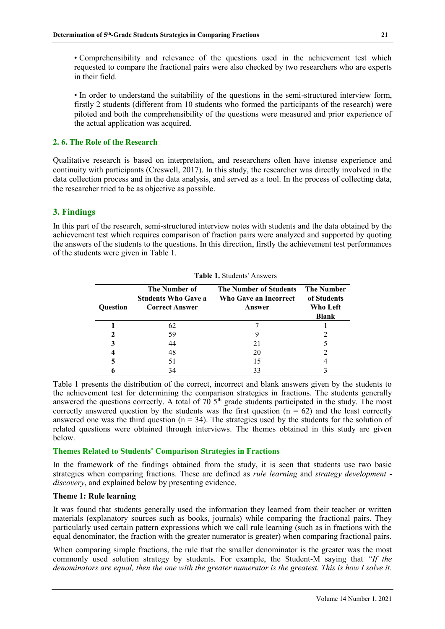• Comprehensibility and relevance of the questions used in the achievement test which requested to compare the fractional pairs were also checked by two researchers who are experts in their field.

• In order to understand the suitability of the questions in the semi-structured interview form, firstly 2 students (different from 10 students who formed the participants of the research) were piloted and both the comprehensibility of the questions were measured and prior experience of the actual application was acquired.

#### **2. 6. The Role of the Research**

Qualitative research is based on interpretation, and researchers often have intense experience and continuity with participants (Creswell, 2017). In this study, the researcher was directly involved in the data collection process and in the data analysis, and served as a tool. In the process of collecting data, the researcher tried to be as objective as possible.

# **3. Findings**

In this part of the research, semi-structured interview notes with students and the data obtained by the achievement test which requires comparison of fraction pairs were analyzed and supported by quoting the answers of the students to the questions. In this direction, firstly the achievement test performances of the students were given in Table 1.

|                 | <b>Table 1.</b> Students Allswels                                    |                                                                  |                                                       |  |  |  |  |  |
|-----------------|----------------------------------------------------------------------|------------------------------------------------------------------|-------------------------------------------------------|--|--|--|--|--|
| <b>Ouestion</b> | The Number of<br><b>Students Who Gave a</b><br><b>Correct Answer</b> | <b>The Number of Students</b><br>Who Gave an Incorrect<br>Answer | <b>The Number</b><br>of Students<br>Who Left<br>Blank |  |  |  |  |  |
|                 | 62                                                                   |                                                                  |                                                       |  |  |  |  |  |
|                 | 59                                                                   |                                                                  | 2                                                     |  |  |  |  |  |
|                 | 44                                                                   | 21                                                               |                                                       |  |  |  |  |  |
| $\overline{4}$  | 48                                                                   | 20                                                               | 2                                                     |  |  |  |  |  |
| 5               | 51                                                                   | 15                                                               |                                                       |  |  |  |  |  |
|                 | 34                                                                   | 33                                                               |                                                       |  |  |  |  |  |

**Table 1.** Students' Answers

Table 1 presents the distribution of the correct, incorrect and blank answers given by the students to the achievement test for determining the comparison strategies in fractions. The students generally answered the questions correctly. A total of  $70\,5<sup>th</sup>$  grade students participated in the study. The most correctly answered question by the students was the first question ( $n = 62$ ) and the least correctly answered one was the third question ( $n = 34$ ). The strategies used by the students for the solution of related questions were obtained through interviews. The themes obtained in this study are given below.

#### **Themes Related to Students' Comparison Strategies in Fractions**

In the framework of the findings obtained from the study, it is seen that students use two basic strategies when comparing fractions. These are defined as *rule learning* and *strategy development discovery*, and explained below by presenting evidence.

#### **Theme 1: Rule learning**

It was found that students generally used the information they learned from their teacher or written materials (explanatory sources such as books, journals) while comparing the fractional pairs. They particularly used certain pattern expressions which we call rule learning (such as in fractions with the equal denominator, the fraction with the greater numerator is greater) when comparing fractional pairs.

When comparing simple fractions, the rule that the smaller denominator is the greater was the most commonly used solution strategy by students. For example, the Student-M saying that *"If the denominators are equal, then the one with the greater numerator is the greatest. This is how I solve it.*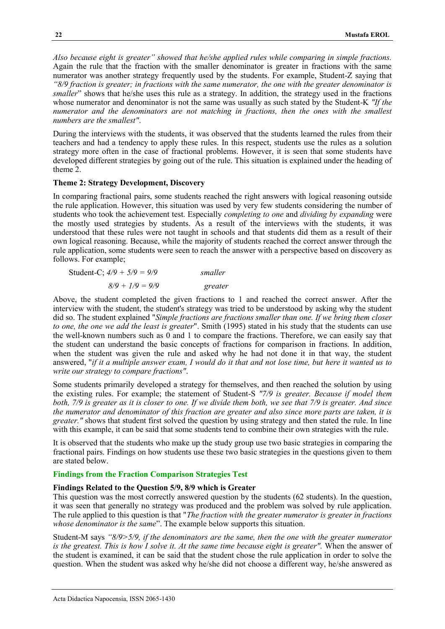*Also because eight is greater" showed that he/she applied rules while comparing in simple fractions.* Again the rule that the fraction with the smaller denominator is greater in fractions with the same numerator was another strategy frequently used by the students. For example, Student-Z saying that *"8/9 fraction is greater; in fractions with the same numerator, the one with the greater denominator is smaller*" shows that he/she uses this rule as a strategy. In addition, the strategy used in the fractions whose numerator and denominator is not the same was usually as such stated by the Student-K *"If the numerator and the denominators are not matching in fractions, then the ones with the smallest numbers are the smallest"*.

During the interviews with the students, it was observed that the students learned the rules from their teachers and had a tendency to apply these rules. In this respect, students use the rules as a solution strategy more often in the case of fractional problems. However, it is seen that some students have developed different strategies by going out of the rule. This situation is explained under the heading of theme 2.

#### **Theme 2: Strategy Development, Discovery**

In comparing fractional pairs, some students reached the right answers with logical reasoning outside the rule application. However, this situation was used by very few students considering the number of students who took the achievement test. Especially *completing to one* and *dividing by expanding* were the mostly used strategies by students. As a result of the interviews with the students, it was understood that these rules were not taught in schools and that students did them as a result of their own logical reasoning. Because, while the majority of students reached the correct answer through the rule application, some students were seen to reach the answer with a perspective based on discovery as follows. For example;

| Student-C; $4/9 + 5/9 = 9/9$ | smaller |  |  |
|------------------------------|---------|--|--|
| $8/9 + 1/9 = 9/9$            | greater |  |  |

Above, the student completed the given fractions to 1 and reached the correct answer. After the interview with the student, the student's strategy was tried to be understood by asking why the student did so. The student explained "*Simple fractions are fractions smaller than one. If we bring them closer to one, the one we add the least is greater*". Smith (1995) stated in his study that the students can use the well-known numbers such as 0 and 1 to compare the fractions. Therefore, we can easily say that the student can understand the basic concepts of fractions for comparison in fractions. In addition, when the student was given the rule and asked why he had not done it in that way, the student answered, "*if it a multiple answer exam, I would do it that and not lose time, but here it wanted us to write our strategy to compare fractions"*.

Some students primarily developed a strategy for themselves, and then reached the solution by using the existing rules. For example; the statement of Student-S *"7/9 is greater. Because if model them both, 7/9 is greater as it is closer to one. If we divide them both, we see that 7/9 is greater. And since the numerator and denominator of this fraction are greater and also since more parts are taken, it is greater."* shows that student first solved the question by using strategy and then stated the rule. In line with this example, it can be said that some students tend to combine their own strategies with the rule.

It is observed that the students who make up the study group use two basic strategies in comparing the fractional pairs. Findings on how students use these two basic strategies in the questions given to them are stated below.

#### **Findings from the Fraction Comparison Strategies Test**

#### **Findings Related to the Question 5/9, 8/9 which is Greater**

This question was the most correctly answered question by the students (62 students). In the question, it was seen that generally no strategy was produced and the problem was solved by rule application. The rule applied to this question is that "*The fraction with the greater numerator is greater in fractions whose denominator is the same*". The example below supports this situation.

Student-M says *"8/9>5/9, if the denominators are the same, then the one with the greater numerator is the greatest. This is how I solve it. At the same time because eight is greater".* When the answer of the student is examined, it can be said that the student chose the rule application in order to solve the question. When the student was asked why he/she did not choose a different way, he/she answered as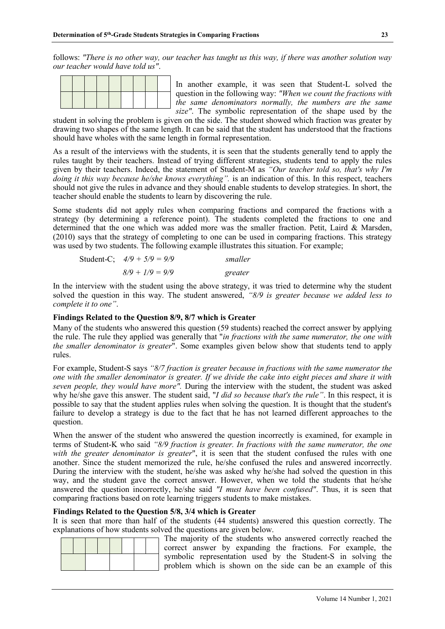follows: *"There is no other way, our teacher has taught us this way, if there was another solution way our teacher would have told us"*.

In another example, it was seen that Student-L solved the question in the following way: *"When we count the fractions with the same denominators normally, the numbers are the same size"*. The symbolic representation of the shape used by the

student in solving the problem is given on the side. The student showed which fraction was greater by drawing two shapes of the same length. It can be said that the student has understood that the fractions should have wholes with the same length in formal representation.

As a result of the interviews with the students, it is seen that the students generally tend to apply the rules taught by their teachers. Instead of trying different strategies, students tend to apply the rules given by their teachers. Indeed, the statement of Student-M as *"Our teacher told so, that's why I'm doing it this way because he/she knows everything".* is an indication of this. In this respect, teachers should not give the rules in advance and they should enable students to develop strategies. In short, the teacher should enable the students to learn by discovering the rule.

Some students did not apply rules when comparing fractions and compared the fractions with a strategy (by determining a reference point). The students completed the fractions to one and determined that the one which was added more was the smaller fraction. Petit, Laird & Marsden, (2010) says that the strategy of completing to one can be used in comparing fractions. This strategy was used by two students. The following example illustrates this situation. For example;

Student-C; 
$$
4/9 + 5/9 = 9/9
$$
 smaller  
8/9 + 1/9 = 9/9 greater

In the interview with the student using the above strategy, it was tried to determine why the student solved the question in this way. The student answered, *"8/9 is greater because we added less to complete it to one"*.

#### **Findings Related to the Question 8/9, 8/7 which is Greater**

Many of the students who answered this question (59 students) reached the correct answer by applying the rule. The rule they applied was generally that "*in fractions with the same numerator, the one with the smaller denominator is greater*". Some examples given below show that students tend to apply rules.

For example, Student-S says *"8/7 fraction is greater because in fractions with the same numerator the one with the smaller denominator is greater. If we divide the cake into eight pieces and share it with seven people, they would have more".* During the interview with the student, the student was asked why he/she gave this answer. The student said, "*I did so because that's the rule"*. In this respect, it is possible to say that the student applies rules when solving the question. It is thought that the student's failure to develop a strategy is due to the fact that he has not learned different approaches to the question.

When the answer of the student who answered the question incorrectly is examined, for example in terms of Student-K who said *"8/9 fraction is greater. In fractions with the same numerator, the one with the greater denominator is greater*", it is seen that the student confused the rules with one another. Since the student memorized the rule, he/she confused the rules and answered incorrectly. During the interview with the student, he/she was asked why he/she had solved the question in this way, and the student gave the correct answer. However, when we told the students that he/she answered the question incorrectly, he/she said *"I must have been confused"*. Thus, it is seen that comparing fractions based on rote learning triggers students to make mistakes.

#### **Findings Related to the Question 5/8, 3/4 which is Greater**

It is seen that more than half of the students (44 students) answered this question correctly. The explanations of how students solved the questions are given below.

The majority of the students who answered correctly reached the correct answer by expanding the fractions. For example, the symbolic representation used by the Student-S in solving the problem which is shown on the side can be an example of this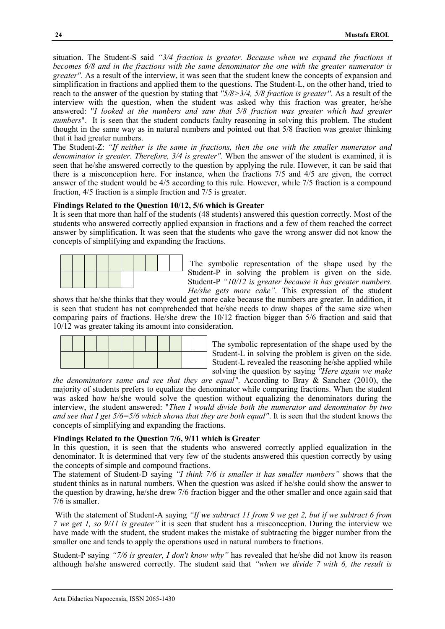situation. The Student-S said *"3/4 fraction is greater. Because when we expand the fractions it becomes 6/8 and in the fractions with the same denominator the one with the greater numerator is greater".* As a result of the interview, it was seen that the student knew the concepts of expansion and simplification in fractions and applied them to the questions. The Student-L, on the other hand, tried to reach to the answer of the question by stating that *''5/8>3/4, 5/8 fraction is greater''*. As a result of the interview with the question, when the student was asked why this fraction was greater, he/she answered: "*I looked at the numbers and saw that 5/8 fraction was greater which had greater numbers*". It is seen that the student conducts faulty reasoning in solving this problem. The student thought in the same way as in natural numbers and pointed out that 5/8 fraction was greater thinking that it had greater numbers.

The Student-Z: *"If neither is the same in fractions, then the one with the smaller numerator and denominator is greater. Therefore, 3/4 is greater".* When the answer of the student is examined, it is seen that he/she answered correctly to the question by applying the rule. However, it can be said that there is a misconception here. For instance, when the fractions 7/5 and 4/5 are given, the correct answer of the student would be 4/5 according to this rule. However, while 7/5 fraction is a compound fraction, 4/5 fraction is a simple fraction and 7/5 is greater.

#### **Findings Related to the Question 10/12, 5/6 which is Greater**

It is seen that more than half of the students (48 students) answered this question correctly. Most of the students who answered correctly applied expansion in fractions and a few of them reached the correct answer by simplification. It was seen that the students who gave the wrong answer did not know the concepts of simplifying and expanding the fractions.



The symbolic representation of the shape used by the Student-P in solving the problem is given on the side. Student-P *"10/12 is greater because it has greater numbers. He/she gets more cake".* This expression of the student

shows that he/she thinks that they would get more cake because the numbers are greater. In addition, it is seen that student has not comprehended that he/she needs to draw shapes of the same size when comparing pairs of fractions. He/she drew the 10/12 fraction bigger than 5/6 fraction and said that 10/12 was greater taking its amount into consideration.



The symbolic representation of the shape used by the Student-L in solving the problem is given on the side. Student-L revealed the reasoning he/she applied while solving the question by saying *"Here again we make* 

*the denominators same and see that they are equal"*. According to Bray & Sanchez (2010), the majority of students prefers to equalize the denominator while comparing fractions. When the student was asked how he/she would solve the question without equalizing the denominators during the interview, the student answered: "*Then I would divide both the numerator and denominator by two and see that I get 5/6=5/6 which shows that they are both equal"*. It is seen that the student knows the concepts of simplifying and expanding the fractions.

#### **Findings Related to the Question 7/6, 9/11 which is Greater**

In this question, it is seen that the students who answered correctly applied equalization in the denominator. It is determined that very few of the students answered this question correctly by using the concepts of simple and compound fractions.

The statement of Student-D saying *"I think 7/6 is smaller it has smaller numbers"* shows that the student thinks as in natural numbers. When the question was asked if he/she could show the answer to the question by drawing, he/she drew 7/6 fraction bigger and the other smaller and once again said that 7/6 is smaller.

With the statement of Student-A saying *"If we subtract 11 from 9 we get 2, but if we subtract 6 from 7 we get 1, so 9/11 is greater"* it is seen that student has a misconception. During the interview we have made with the student, the student makes the mistake of subtracting the bigger number from the smaller one and tends to apply the operations used in natural numbers to fractions.

Student-P saying *"7/6 is greater, I don't know why"* has revealed that he/she did not know its reason although he/she answered correctly. The student said that *"when we divide 7 with 6, the result is*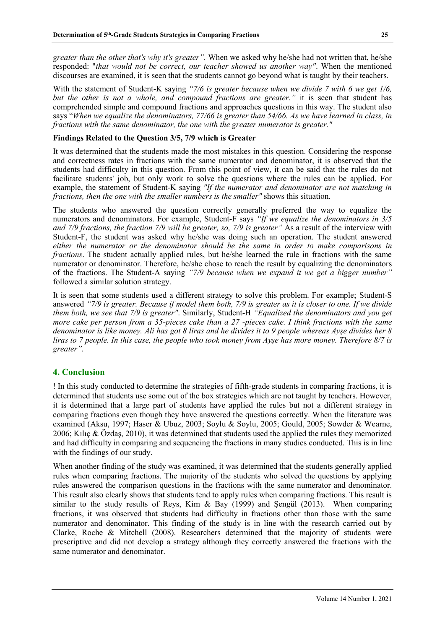*greater than the other that's why it's greater".* When we asked why he/she had not written that, he/she responded: "*that would not be correct, our teacher showed us another way"*. When the mentioned discourses are examined, it is seen that the students cannot go beyond what is taught by their teachers.

With the statement of Student-K saying "7/6 is greater because when we divide 7 with 6 we get 1/6, *but the other is not a whole, and compound fractions are greater.*" it is seen that student has comprehended simple and compound fractions and approaches questions in this way. The student also says "*When we equalize the denominators, 77/66 is greater than 54/66. As we have learned in class, in fractions with the same denominator, the one with the greater numerator is greater."* 

## **Findings Related to the Question 3/5, 7/9 which is Greater**

It was determined that the students made the most mistakes in this question. Considering the response and correctness rates in fractions with the same numerator and denominator, it is observed that the students had difficulty in this question. From this point of view, it can be said that the rules do not facilitate students' job, but only work to solve the questions where the rules can be applied. For example, the statement of Student-K saying *"If the numerator and denominator are not matching in fractions, then the one with the smaller numbers is the smaller"* shows this situation.

The students who answered the question correctly generally preferred the way to equalize the numerators and denominators. For example, Student-F says *"If we equalize the denominators in 3/5 and 7/9 fractions, the fraction 7/9 will be greater, so, 7/9 is greater"* As a result of the interview with Student-F, the student was asked why he/she was doing such an operation. The student answered *either the numerator or the denominator should be the same in order to make comparisons in fractions*. The student actually applied rules, but he/she learned the rule in fractions with the same numerator or denominator. Therefore, he/she chose to reach the result by equalizing the denominators of the fractions. The Student-A saying *"7/9 because when we expand it we get a bigger number"* followed a similar solution strategy.

It is seen that some students used a different strategy to solve this problem. For example; Student-S answered *"7/9 is greater. Because if model them both, 7/9 is greater as it is closer to one. If we divide them both, we see that 7/9 is greater"*. Similarly, Student-H *"Equalized the denominators and you get more cake per person from a 35-pieces cake than a 27 -pieces cake. I think fractions with the same denominator is like money. Ali has got 8 liras and he divides it to 9 people whereas Ayşe divides her 8 liras to 7 people. In this case, the people who took money from Ayşe has more money. Therefore 8/7 is greater".* 

# **4. Conclusion**

! In this study conducted to determine the strategies of fifth-grade students in comparing fractions, it is determined that students use some out of the box strategies which are not taught by teachers. However, it is determined that a large part of students have applied the rules but not a different strategy in comparing fractions even though they have answered the questions correctly. When the literature was examined (Aksu, 1997; Haser & Ubuz, 2003; Soylu & Soylu, 2005; Gould, 2005; Sowder & Wearne, 2006; Kılıç & Özdaş, 2010), it was determined that students used the applied the rules they memorized and had difficulty in comparing and sequencing the fractions in many studies conducted. This is in line with the findings of our study.

When another finding of the study was examined, it was determined that the students generally applied rules when comparing fractions. The majority of the students who solved the questions by applying rules answered the comparison questions in the fractions with the same numerator and denominator. This result also clearly shows that students tend to apply rules when comparing fractions. This result is similar to the study results of Reys, Kim & Bay (1999) and Şengül (2013). When comparing fractions, it was observed that students had difficulty in fractions other than those with the same numerator and denominator. This finding of the study is in line with the research carried out by Clarke, Roche & Mitchell (2008). Researchers determined that the majority of students were prescriptive and did not develop a strategy although they correctly answered the fractions with the same numerator and denominator.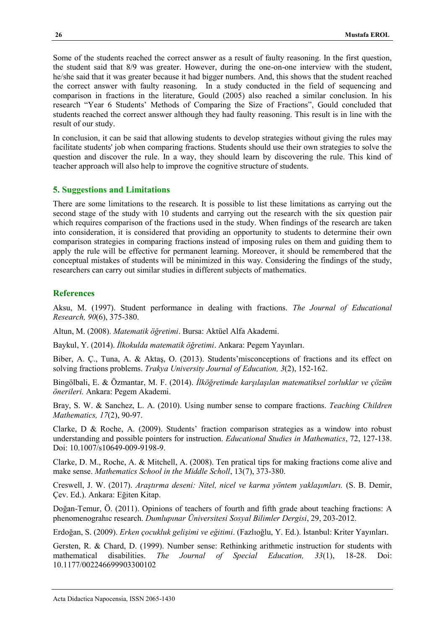Some of the students reached the correct answer as a result of faulty reasoning. In the first question, the student said that 8/9 was greater. However, during the one-on-one interview with the student, he/she said that it was greater because it had bigger numbers. And, this shows that the student reached the correct answer with faulty reasoning. In a study conducted in the field of sequencing and comparison in fractions in the literature, Gould (2005) also reached a similar conclusion. In his research "Year 6 Students' Methods of Comparing the Size of Fractions", Gould concluded that students reached the correct answer although they had faulty reasoning. This result is in line with the result of our study.

In conclusion, it can be said that allowing students to develop strategies without giving the rules may facilitate students' job when comparing fractions. Students should use their own strategies to solve the question and discover the rule. In a way, they should learn by discovering the rule. This kind of teacher approach will also help to improve the cognitive structure of students.

## **5. Suggestions and Limitations**

There are some limitations to the research. It is possible to list these limitations as carrying out the second stage of the study with 10 students and carrying out the research with the six question pair which requires comparison of the fractions used in the study. When findings of the research are taken into consideration, it is considered that providing an opportunity to students to determine their own comparison strategies in comparing fractions instead of imposing rules on them and guiding them to apply the rule will be effective for permanent learning. Moreover, it should be remembered that the conceptual mistakes of students will be minimized in this way. Considering the findings of the study, researchers can carry out similar studies in different subjects of mathematics.

# **References**

Aksu, M. (1997). Student performance in dealing with fractions. *The Journal of Educational Research, 90*(6), 375-380.

Altun, M. (2008). *Matematik öğretimi*. Bursa: Aktüel Alfa Akademi.

Baykul, Y. (2014). *İlkokulda matematik öğretimi*. Ankara: Pegem Yayınları.

Biber, A. Ç., Tuna, A. & Aktaş, O. (2013). Students'misconceptions of fractions and its effect on solving fractions problems. *Trakya University Journal of Education, 3*(2), 152-162.

Bingölbali, E. & Özmantar, M. F. (2014). *İlköğretimde karşılaşılan matematiksel zorluklar ve çözüm önerileri.* Ankara: Pegem Akademi.

Bray, S. W. & Sanchez, L. A. (2010). Using number sense to compare fractions. *Teaching Children Mathematics, 17*(2), 90-97.

Clarke, D & Roche, A. (2009). Students' fraction comparison strategies as a window into robust understanding and possible pointers for instruction. *Educational Studies in Mathematics*, 72, 127-138. Doi: 10.1007/s10649-009-9198-9.

Clarke, D. M., Roche, A. & Mitchell, A. (2008). Ten pratical tips for making fractions come alive and make sense. *Mathematics School in the Middle Scholl*, 13(7), 373-380.

Creswell, J. W. (2017). *Araştırma deseni: Nitel, nicel ve karma yöntem yaklaşımları.* (S. B. Demir, Çev. Ed.). Ankara: Eğiten Kitap.

Doğan-Temur, Ö. (2011). Opinions of teachers of fourth and fifth grade about teaching fractions: A phenomenograhıc research. *Dumlupınar Üniversitesi Sosyal Bilimler Dergisi*, 29, 203-2012.

Erdoğan, S. (2009). *Erken çocukluk gelişimi ve eğitimi*. (Fazlıoğlu, Y. Ed.). İstanbul: Kriter Yayınları.

Gersten, R. & Chard, D. (1999). Number sense: Rethinking arithmetic instruction for students with mathematical disabilities. *The Journal of Special Education, 33*(1), 18-28. Doi: 10.1177/002246699903300102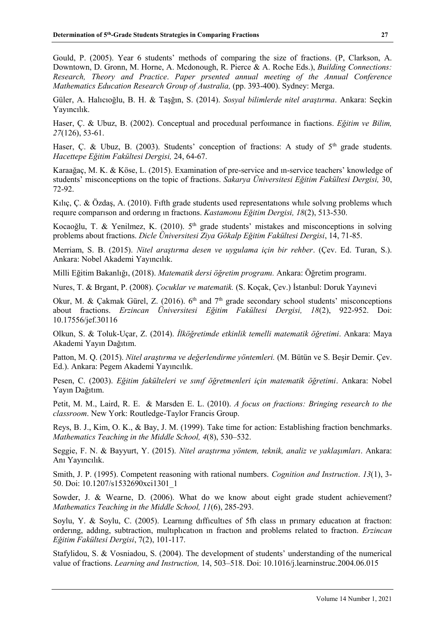Gould, P. (2005). Year 6 students' methods of comparing the size of fractions. (P, Clarkson, A. Downtown, D. Gronn, M. Horne, A. Mcdonough, R. Pierce & A. Roche Eds.), *Building Connections: Research, Theory and Practice*. *Paper prsented annual meeting of the Annual Conference Mathematics Education Research Group of Australia, (pp. 393-400). Sydney: Merga.* 

Güler, A. Halıcıoğlu, B. H. & Taşğın, S. (2014). *Sosyal bilimlerde nitel araştırma*. Ankara: Seçkin Yayıncılık.

Haser, Ç. & Ubuz, B. (2002). Conceptual and proceduıal perfoımance in fıactions. *Eğitim ve Bilim, 27*(126), 53-61.

Haser, C. & Ubuz, B. (2003). Students' conception of fractions: A study of  $5<sup>th</sup>$  grade students. *Hacettepe Eğitim Fakültesi Dergisi,* 24, 64-67.

Karaağaç, M. K. & Köse, L. (2015). Examination of pre-service and ın-service teachers' knowledge of students' misconceptions on the topic of fractions. *Sakarya Üniversitesi Eğitim Fakültesi Dergisi,* 30, 72-92.

Kılıç, Ç. & Özdaş, A. (2010). Fıfth grade students used representatıons whıle solvıng problems whıch requıre comparıson and orderıng ın fractıons. *Kastamonu Eğitim Dergisi, 18*(2), 513-530.

Kocaoğlu, T. & Yenilmez, K. (2010). 5<sup>th</sup> grade students' mistakes and misconceptions in solving problems about fractions. *Dicle Üniversitesi Ziya Gökalp Eğitim Fakültesi Dergisi*, 14, 71-85.

Merriam, S. B. (2015). *Nitel araştırma desen ve uygulama için bir rehber*. (Çev. Ed. Turan, S.). Ankara: Nobel Akademi Yayıncılık.

Milli Eğitim Bakanlığı, (2018). *Matematik dersi öğretim programı.* Ankara: Öğretim programı.

Nures, T. & Brgant, P. (2008). *Çocuklar ve matematik.* (S. Koçak, Çev.) İstanbul: Doruk Yayınevi

Okur, M. & Çakmak Gürel, Z. (2016).  $6<sup>th</sup>$  and  $7<sup>th</sup>$  grade secondary school students' misconceptions about fractions. *Erzincan Üniversitesi Eğitim Fakültesi Dergisi, 18*(2), 922-952. Doi: 10.17556/jef.30116

Olkun, S. & Toluk-Uçar, Z. (2014). *İlköğretimde etkinlik temelli matematik öğretimi*. Ankara: Maya Akademi Yayın Dağıtım.

Patton, M. Q. (2015). *Nitel araştırma ve değerlendirme yöntemleri.* (M. Bütün ve S. Beşir Demir. Çev. Ed.). Ankara: Pegem Akademi Yayıncılık.

Pesen, C. (2003). *Eğitim fakülteleri ve sınıf öğretmenleri için matematik öğretimi*. Ankara: Nobel Yayın Dağıtım.

Petit, M. M., Laird, R. E. & Marsden E. L. (2010). *A focus on fractions: Bringing research to the classroom*. New York: Routledge-Taylor Francis Group.

Reys, B. J., Kim, O. K., & Bay, J. M. (1999). Take time for action: Establishing fraction benchmarks. *Mathematics Teaching in the Middle School, 4*(8), 530–532.

Seggie, F. N. & Bayyurt, Y. (2015). *Nitel araştırma yöntem, teknik, analiz ve yaklaşımları*. Ankara: Anı Yayıncılık.

Smith, J. P. (1995). Competent reasoning with rational numbers. *Cognition and Instruction*. *13*(1), 3- 50. Doi: 10.1207/s1532690xci1301\_1

Sowder, J. & Wearne, D. (2006). What do we know about eight grade student achievement? *Mathematics Teaching in the Middle School, 11*(6), 285-293.

Soylu, Y. & Soylu, C. (2005). Learnıng dıffıcultıes of 5fh class ın prımary educatıon at fractıon: orderıng, addıng, subtraction, multıplıcatıon ın fractıon and problems related to fractıon. *Erzincan Eğitim Fakültesi Dergisi*, 7(2), 101-117.

Stafylidou, S. & Vosniadou, S. (2004). The development of students' understanding of the numerical value of fractions. *Learning and Instruction,* 14, 503–518. Doi: 10.1016/j.learninstruc.2004.06.015